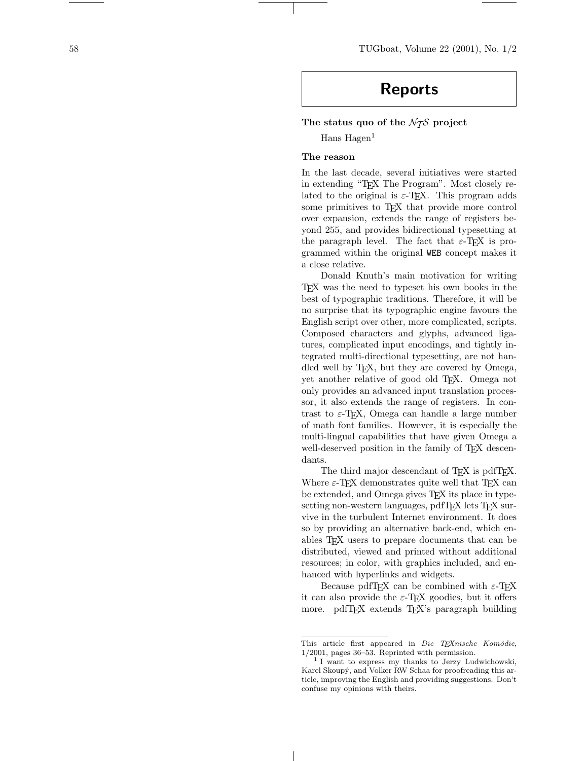58 TUGboat, Volume 22 (2001), No. 1/2

# Reports

# The status quo of the  $\mathcal{N}$  project

 $Hans Hagen<sup>1</sup>$ 

# The reason

In the last decade, several initiatives were started in extending "TEX The Program". Most closely related to the original is  $\varepsilon$ -T<sub>E</sub>X. This program adds some primitives to T<sub>EX</sub> that provide more control over expansion, extends the range of registers beyond 255, and provides bidirectional typesetting at the paragraph level. The fact that  $\varepsilon$ -TEX is programmed within the original WEB concept makes it a close relative.

Donald Knuth's main motivation for writing TEX was the need to typeset his own books in the best of typographic traditions. Therefore, it will be no surprise that its typographic engine favours the English script over other, more complicated, scripts. Composed characters and glyphs, advanced ligatures, complicated input encodings, and tightly integrated multi-directional typesetting, are not handled well by TEX, but they are covered by Omega, yet another relative of good old TEX. Omega not only provides an advanced input translation processor, it also extends the range of registers. In contrast to  $\varepsilon$ -T<sub>F</sub>X, Omega can handle a large number of math font families. However, it is especially the multi-lingual capabilities that have given Omega a well-deserved position in the family of T<sub>E</sub>X descendants.

The third major descendant of T<sub>E</sub>X is pdfT<sub>E</sub>X. Where  $\varepsilon$ -T<sub>EX</sub> demonstrates quite well that T<sub>EX</sub> can be extended, and Omega gives TEX its place in typesetting non-western languages, pdfTEX lets TEX survive in the turbulent Internet environment. It does so by providing an alternative back-end, which enables TEX users to prepare documents that can be distributed, viewed and printed without additional resources; in color, with graphics included, and enhanced with hyperlinks and widgets.

Because pdfTEX can be combined with  $\varepsilon$ -TEX it can also provide the  $\varepsilon$ -T<sub>E</sub>X goodies, but it offers more. pdfTFX extends TFX's paragraph building

This article first appeared in Die TEXnische Komödie, 1/2001, pages 36–53. Reprinted with permission.

<sup>1</sup> I want to express my thanks to Jerzy Ludwichowski, Karel Skoupý, and Volker RW Schaa for proofreading this article, improving the English and providing suggestions. Don't confuse my opinions with theirs.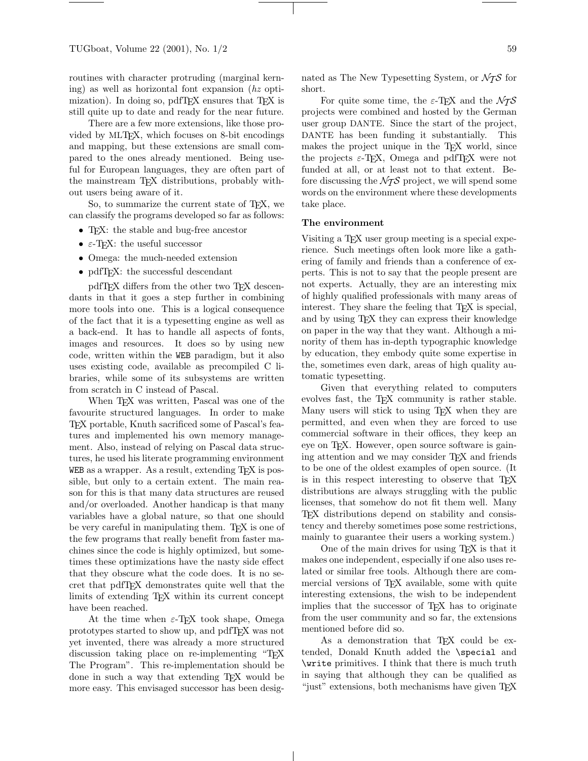routines with character protruding (marginal kerning) as well as horizontal font expansion (hz optimization). In doing so, pdfTEX ensures that TEX is still quite up to date and ready for the near future.

There are a few more extensions, like those provided by MLTEX, which focuses on 8-bit encodings and mapping, but these extensions are small compared to the ones already mentioned. Being useful for European languages, they are often part of the mainstream T<sub>EX</sub> distributions, probably without users being aware of it.

So, to summarize the current state of TEX, we can classify the programs developed so far as follows:

- TEX: the stable and bug-free ancestor
- $\bullet\,$   $\varepsilon\textsc{-}\mathrm{TEX}\colon$  the useful successor
- Omega: the much-needed extension
- pdfTFX: the successful descendant

pdfTFX differs from the other two TFX descendants in that it goes a step further in combining more tools into one. This is a logical consequence of the fact that it is a typesetting engine as well as a back-end. It has to handle all aspects of fonts, images and resources. It does so by using new code, written within the WEB paradigm, but it also uses existing code, available as precompiled C libraries, while some of its subsystems are written from scratch in C instead of Pascal.

When T<sub>E</sub>X was written, Pascal was one of the favourite structured languages. In order to make TEX portable, Knuth sacrificed some of Pascal's features and implemented his own memory management. Also, instead of relying on Pascal data structures, he used his literate programming environment WEB as a wrapper. As a result, extending TEX is possible, but only to a certain extent. The main reason for this is that many data structures are reused and/or overloaded. Another handicap is that many variables have a global nature, so that one should be very careful in manipulating them. TEX is one of the few programs that really benefit from faster machines since the code is highly optimized, but sometimes these optimizations have the nasty side effect that they obscure what the code does. It is no secret that pdfTEX demonstrates quite well that the limits of extending T<sub>E</sub>X within its current concept have been reached.

At the time when  $\varepsilon$ -TEX took shape, Omega prototypes started to show up, and pdfTEX was not yet invented, there was already a more structured discussion taking place on re-implementing "T<sub>EX</sub> The Program". This re-implementation should be done in such a way that extending TEX would be more easy. This envisaged successor has been designated as The New Typesetting System, or  $\mathcal{N}_{\mathcal{I}}\mathcal{S}$  for short.

For quite some time, the  $\varepsilon$ -T<sub>E</sub>X and the  $\mathcal{N}$ TS projects were combined and hosted by the German user group DANTE. Since the start of the project, DANTE has been funding it substantially. This makes the project unique in the T<sub>EX</sub> world, since the projects  $\varepsilon$ -TEX, Omega and pdfTEX were not funded at all, or at least not to that extent. Before discussing the  $\mathcal{N}$  project, we will spend some words on the environment where these developments take place.

## The environment

Visiting a T<sub>E</sub>X user group meeting is a special experience. Such meetings often look more like a gathering of family and friends than a conference of experts. This is not to say that the people present are not experts. Actually, they are an interesting mix of highly qualified professionals with many areas of interest. They share the feeling that T<sub>E</sub>X is special, and by using T<sub>E</sub>X they can express their knowledge on paper in the way that they want. Although a minority of them has in-depth typographic knowledge by education, they embody quite some expertise in the, sometimes even dark, areas of high quality automatic typesetting.

Given that everything related to computers evolves fast, the TEX community is rather stable. Many users will stick to using TEX when they are permitted, and even when they are forced to use commercial software in their offices, they keep an eye on T<sub>E</sub>X. However, open source software is gaining attention and we may consider TEX and friends to be one of the oldest examples of open source. (It is in this respect interesting to observe that T<sub>E</sub>X distributions are always struggling with the public licenses, that somehow do not fit them well. Many TEX distributions depend on stability and consistency and thereby sometimes pose some restrictions, mainly to guarantee their users a working system.)

One of the main drives for using TEX is that it makes one independent, especially if one also uses related or similar free tools. Although there are commercial versions of T<sub>E</sub>X available, some with quite interesting extensions, the wish to be independent implies that the successor of TEX has to originate from the user community and so far, the extensions mentioned before did so.

As a demonstration that TFX could be extended, Donald Knuth added the \special and \write primitives. I think that there is much truth in saying that although they can be qualified as "just" extensions, both mechanisms have given TEX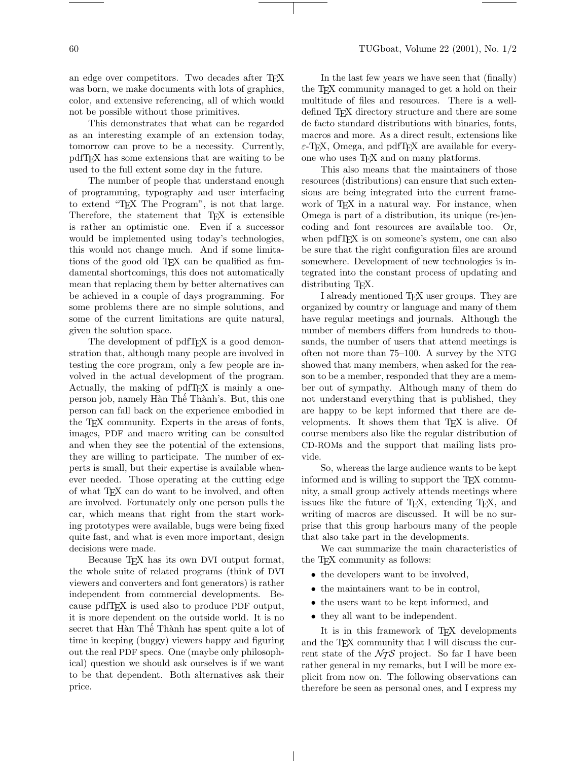# an edge over competitors. Two decades after T<sub>E</sub>X was born, we make documents with lots of graphics, color, and extensive referencing, all of which would not be possible without those primitives.

This demonstrates that what can be regarded as an interesting example of an extension today, tomorrow can prove to be a necessity. Currently, pdfTEX has some extensions that are waiting to be used to the full extent some day in the future.

The number of people that understand enough of programming, typography and user interfacing to extend "TEX The Program", is not that large. Therefore, the statement that T<sub>EX</sub> is extensible is rather an optimistic one. Even if a successor would be implemented using today's technologies, this would not change much. And if some limitations of the good old T<sub>E</sub>X can be qualified as fundamental shortcomings, this does not automatically mean that replacing them by better alternatives can be achieved in a couple of days programming. For some problems there are no simple solutions, and some of the current limitations are quite natural, given the solution space.

The development of pdfT<sub>F</sub>X is a good demonstration that, although many people are involved in testing the core program, only a few people are involved in the actual development of the program. Actually, the making of pdfT<sub>F</sub>X is mainly a oneperson job, namely Hàn Thế Thành's. But, this one person can fall back on the experience embodied in the TEX community. Experts in the areas of fonts, images, PDF and macro writing can be consulted and when they see the potential of the extensions, they are willing to participate. The number of experts is small, but their expertise is available whenever needed. Those operating at the cutting edge of what TEX can do want to be involved, and often are involved. Fortunately only one person pulls the car, which means that right from the start working prototypes were available, bugs were being fixed quite fast, and what is even more important, design decisions were made.

Because T<sub>F</sub>X has its own DVI output format, the whole suite of related programs (think of DVI viewers and converters and font generators) is rather independent from commercial developments. Because pdfTEX is used also to produce PDF output, it is more dependent on the outside world. It is no secret that Hàn Thế Thành has spent quite a lot of time in keeping (buggy) viewers happy and figuring out the real PDF specs. One (maybe only philosophical) question we should ask ourselves is if we want to be that dependent. Both alternatives ask their price.

In the last few years we have seen that (finally) the T<sub>E</sub>X community managed to get a hold on their multitude of files and resources. There is a welldefined TFX directory structure and there are some de facto standard distributions with binaries, fonts, macros and more. As a direct result, extensions like  $\varepsilon$ -T<sub>E</sub>X, Omega, and pdfT<sub>E</sub>X are available for everyone who uses TEX and on many platforms.

This also means that the maintainers of those resources (distributions) can ensure that such extensions are being integrated into the current framework of T<sub>F</sub>X in a natural way. For instance, when Omega is part of a distribution, its unique (re-)encoding and font resources are available too. Or, when pdfT<sub>E</sub>X is on someone's system, one can also be sure that the right configuration files are around somewhere. Development of new technologies is integrated into the constant process of updating and distributing T<sub>F</sub>X.

I already mentioned TEX user groups. They are organized by country or language and many of them have regular meetings and journals. Although the number of members differs from hundreds to thousands, the number of users that attend meetings is often not more than 75–100. A survey by the NTG showed that many members, when asked for the reason to be a member, responded that they are a member out of sympathy. Although many of them do not understand everything that is published, they are happy to be kept informed that there are developments. It shows them that T<sub>E</sub>X is alive. Of course members also like the regular distribution of CD-ROMs and the support that mailing lists provide.

So, whereas the large audience wants to be kept informed and is willing to support the TEX community, a small group actively attends meetings where issues like the future of TEX, extending TEX, and writing of macros are discussed. It will be no surprise that this group harbours many of the people that also take part in the developments.

We can summarize the main characteristics of the T<sub>F</sub>X community as follows:

- the developers want to be involved,
- the maintainers want to be in control,
- the users want to be kept informed, and
- they all want to be independent.

It is in this framework of T<sub>EX</sub> developments and the TEX community that I will discuss the current state of the  $\mathcal{N}$  project. So far I have been rather general in my remarks, but I will be more explicit from now on. The following observations can therefore be seen as personal ones, and I express my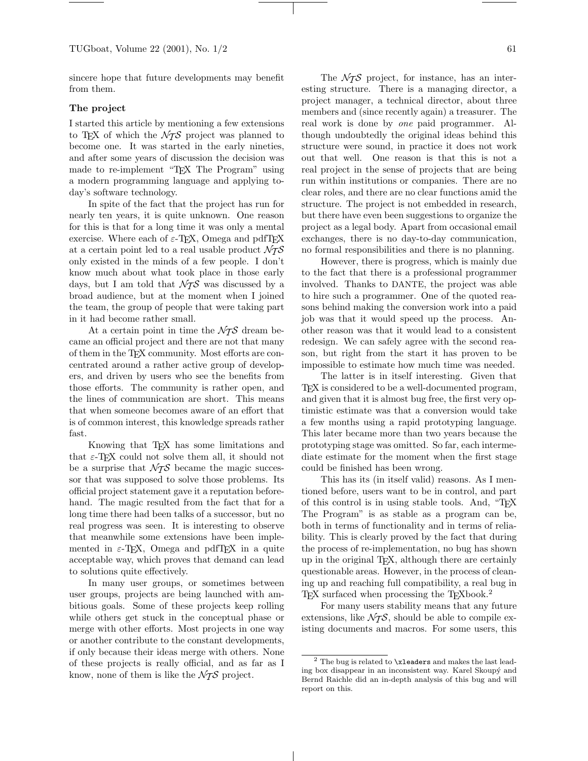sincere hope that future developments may benefit from them.

#### The project

I started this article by mentioning a few extensions to T<sub>E</sub>X of which the  $\mathcal{N}$  project was planned to become one. It was started in the early nineties, and after some years of discussion the decision was made to re-implement "TEX The Program" using a modern programming language and applying today's software technology.

In spite of the fact that the project has run for nearly ten years, it is quite unknown. One reason for this is that for a long time it was only a mental exercise. Where each of  $\varepsilon$ -T<sub>E</sub>X, Omega and pdfT<sub>E</sub>X at a certain point led to a real usable product  $\mathcal{N}$ TS only existed in the minds of a few people. I don't know much about what took place in those early days, but I am told that  $\mathcal{N}$ S was discussed by a broad audience, but at the moment when I joined the team, the group of people that were taking part in it had become rather small.

At a certain point in time the  $\mathcal{N}$  dream became an official project and there are not that many of them in the TEX community. Most efforts are concentrated around a rather active group of developers, and driven by users who see the benefits from those efforts. The community is rather open, and the lines of communication are short. This means that when someone becomes aware of an effort that is of common interest, this knowledge spreads rather fast.

Knowing that TEX has some limitations and that  $\varepsilon$ -T<sub>E</sub>X could not solve them all, it should not be a surprise that  $\mathcal{N} \mathcal{T} \mathcal{S}$  became the magic successor that was supposed to solve those problems. Its official project statement gave it a reputation beforehand. The magic resulted from the fact that for a long time there had been talks of a successor, but no real progress was seen. It is interesting to observe that meanwhile some extensions have been implemented in  $\varepsilon$ -TEX, Omega and pdfTEX in a quite acceptable way, which proves that demand can lead to solutions quite effectively.

In many user groups, or sometimes between user groups, projects are being launched with ambitious goals. Some of these projects keep rolling while others get stuck in the conceptual phase or merge with other efforts. Most projects in one way or another contribute to the constant developments, if only because their ideas merge with others. None of these projects is really official, and as far as I know, none of them is like the  $\mathcal{N}$  project.

The  $\mathcal{N}$  project, for instance, has an interesting structure. There is a managing director, a project manager, a technical director, about three members and (since recently again) a treasurer. The real work is done by one paid programmer. Although undoubtedly the original ideas behind this structure were sound, in practice it does not work out that well. One reason is that this is not a real project in the sense of projects that are being run within institutions or companies. There are no clear roles, and there are no clear functions amid the structure. The project is not embedded in research, but there have even been suggestions to organize the project as a legal body. Apart from occasional email exchanges, there is no day-to-day communication, no formal responsibilities and there is no planning.

However, there is progress, which is mainly due to the fact that there is a professional programmer involved. Thanks to DANTE, the project was able to hire such a programmer. One of the quoted reasons behind making the conversion work into a paid job was that it would speed up the process. Another reason was that it would lead to a consistent redesign. We can safely agree with the second reason, but right from the start it has proven to be impossible to estimate how much time was needed.

The latter is in itself interesting. Given that TEX is considered to be a well-documented program, and given that it is almost bug free, the first very optimistic estimate was that a conversion would take a few months using a rapid prototyping language. This later became more than two years because the prototyping stage was omitted. So far, each intermediate estimate for the moment when the first stage could be finished has been wrong.

This has its (in itself valid) reasons. As I mentioned before, users want to be in control, and part of this control is in using stable tools. And, "TEX The Program" is as stable as a program can be, both in terms of functionality and in terms of reliability. This is clearly proved by the fact that during the process of re-implementation, no bug has shown up in the original TEX, although there are certainly questionable areas. However, in the process of cleaning up and reaching full compatibility, a real bug in TEX surfaced when processing the TEXbook.<sup>2</sup>

For many users stability means that any future extensions, like  $\mathcal{N}_{\mathcal{I}}\mathcal{S}$ , should be able to compile existing documents and macros. For some users, this

 $^2$  The bug is related to  $\verb|\xleaders|$  and makes the last leading box disappear in an inconsistent way. Karel Skoupý and Bernd Raichle did an in-depth analysis of this bug and will report on this.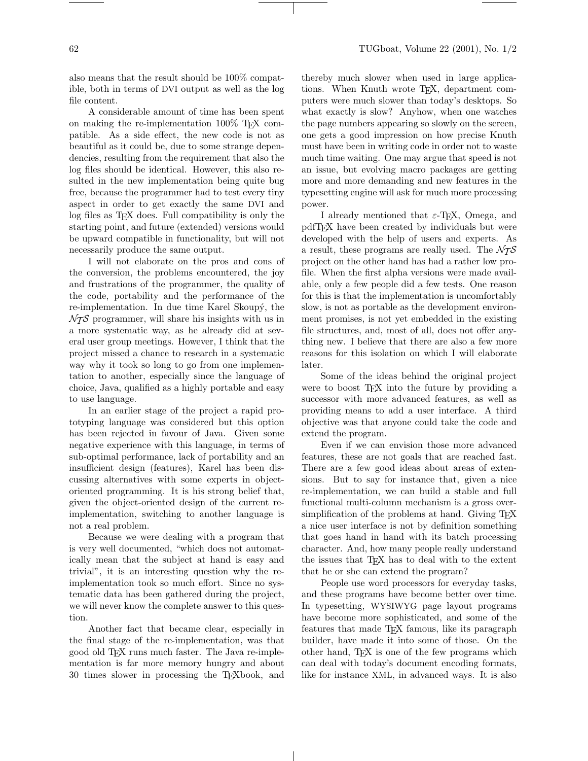also means that the result should be 100% compatible, both in terms of DVI output as well as the log file content.

A considerable amount of time has been spent on making the re-implementation 100% TEX compatible. As a side effect, the new code is not as beautiful as it could be, due to some strange dependencies, resulting from the requirement that also the log files should be identical. However, this also resulted in the new implementation being quite bug free, because the programmer had to test every tiny aspect in order to get exactly the same DVI and log files as T<sub>E</sub>X does. Full compatibility is only the starting point, and future (extended) versions would be upward compatible in functionality, but will not necessarily produce the same output.

I will not elaborate on the pros and cons of the conversion, the problems encountered, the joy and frustrations of the programmer, the quality of the code, portability and the performance of the re-implementation. In due time Karel Skoupy, the  $\mathcal{N}$  programmer, will share his insights with us in a more systematic way, as he already did at several user group meetings. However, I think that the project missed a chance to research in a systematic way why it took so long to go from one implementation to another, especially since the language of choice, Java, qualified as a highly portable and easy to use language.

In an earlier stage of the project a rapid prototyping language was considered but this option has been rejected in favour of Java. Given some negative experience with this language, in terms of sub-optimal performance, lack of portability and an insufficient design (features), Karel has been discussing alternatives with some experts in objectoriented programming. It is his strong belief that, given the object-oriented design of the current reimplementation, switching to another language is not a real problem.

Because we were dealing with a program that is very well documented, "which does not automatically mean that the subject at hand is easy and trivial", it is an interesting question why the reimplementation took so much effort. Since no systematic data has been gathered during the project, we will never know the complete answer to this question.

Another fact that became clear, especially in the final stage of the re-implementation, was that good old TEX runs much faster. The Java re-implementation is far more memory hungry and about 30 times slower in processing the TEXbook, and

thereby much slower when used in large applications. When Knuth wrote T<sub>E</sub>X, department computers were much slower than today's desktops. So what exactly is slow? Anyhow, when one watches the page numbers appearing so slowly on the screen, one gets a good impression on how precise Knuth must have been in writing code in order not to waste much time waiting. One may argue that speed is not an issue, but evolving macro packages are getting more and more demanding and new features in the typesetting engine will ask for much more processing power.

I already mentioned that  $\varepsilon$ -T<sub>E</sub>X, Omega, and pdfTEX have been created by individuals but were developed with the help of users and experts. As a result, these programs are really used. The  $\mathcal{N}$ project on the other hand has had a rather low profile. When the first alpha versions were made available, only a few people did a few tests. One reason for this is that the implementation is uncomfortably slow, is not as portable as the development environment promises, is not yet embedded in the existing file structures, and, most of all, does not offer anything new. I believe that there are also a few more reasons for this isolation on which I will elaborate later.

Some of the ideas behind the original project were to boost T<sub>F</sub>X into the future by providing a successor with more advanced features, as well as providing means to add a user interface. A third objective was that anyone could take the code and extend the program.

Even if we can envision those more advanced features, these are not goals that are reached fast. There are a few good ideas about areas of extensions. But to say for instance that, given a nice re-implementation, we can build a stable and full functional multi-column mechanism is a gross oversimplification of the problems at hand. Giving T<sub>EX</sub> a nice user interface is not by definition something that goes hand in hand with its batch processing character. And, how many people really understand the issues that TEX has to deal with to the extent that he or she can extend the program?

People use word processors for everyday tasks, and these programs have become better over time. In typesetting, WYSIWYG page layout programs have become more sophisticated, and some of the features that made TFX famous, like its paragraph builder, have made it into some of those. On the other hand, TEX is one of the few programs which can deal with today's document encoding formats, like for instance XML, in advanced ways. It is also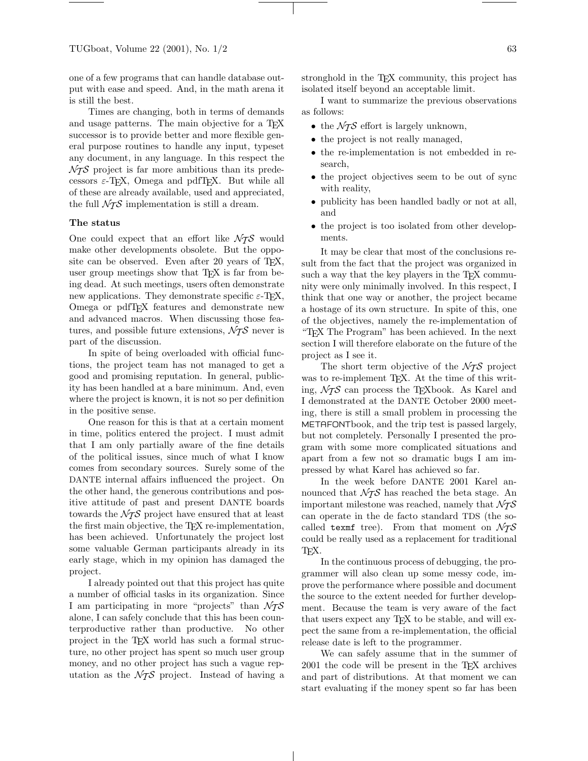one of a few programs that can handle database output with ease and speed. And, in the math arena it is still the best.

Times are changing, both in terms of demands and usage patterns. The main objective for a T<sub>F</sub>X successor is to provide better and more flexible general purpose routines to handle any input, typeset any document, in any language. In this respect the  $\mathcal{N}$  project is far more ambitious than its predecessors  $\varepsilon$ -T<sub>E</sub>X, Omega and pdfT<sub>E</sub>X. But while all of these are already available, used and appreciated, the full  $\mathcal{N} {\cal T} \mathcal{S}$  implementation is still a dream.

## The status

One could expect that an effort like  $\mathcal{N}$  would make other developments obsolete. But the opposite can be observed. Even after 20 years of TFX, user group meetings show that T<sub>E</sub>X is far from being dead. At such meetings, users often demonstrate new applications. They demonstrate specific  $\varepsilon$ -TEX, Omega or pdfTEX features and demonstrate new and advanced macros. When discussing those features, and possible future extensions,  $\mathcal{N}$  never is part of the discussion.

In spite of being overloaded with official functions, the project team has not managed to get a good and promising reputation. In general, publicity has been handled at a bare minimum. And, even where the project is known, it is not so per definition in the positive sense.

One reason for this is that at a certain moment in time, politics entered the project. I must admit that I am only partially aware of the fine details of the political issues, since much of what I know comes from secondary sources. Surely some of the DANTE internal affairs influenced the project. On the other hand, the generous contributions and positive attitude of past and present DANTE boards towards the  $\mathcal{N}$  project have ensured that at least the first main objective, the TEX re-implementation, has been achieved. Unfortunately the project lost some valuable German participants already in its early stage, which in my opinion has damaged the project.

I already pointed out that this project has quite a number of official tasks in its organization. Since I am participating in more "projects" than  $\mathcal{N}$ TS alone, I can safely conclude that this has been counterproductive rather than productive. No other project in the TEX world has such a formal structure, no other project has spent so much user group money, and no other project has such a vague reputation as the  $\mathcal{N}$  project. Instead of having a

stronghold in the T<sub>E</sub>X community, this project has isolated itself beyond an acceptable limit.

I want to summarize the previous observations as follows:

- the  $\mathcal{N}$  effort is largely unknown,
- the project is not really managed,
- the re-implementation is not embedded in research,
- the project objectives seem to be out of sync with reality,
- publicity has been handled badly or not at all, and
- the project is too isolated from other developments.

It may be clear that most of the conclusions result from the fact that the project was organized in such a way that the key players in the TEX community were only minimally involved. In this respect, I think that one way or another, the project became a hostage of its own structure. In spite of this, one of the objectives, namely the re-implementation of "TEX The Program" has been achieved. In the next section I will therefore elaborate on the future of the project as I see it.

The short term objective of the  $\mathcal{N}$  project was to re-implement TEX. At the time of this writing,  $\mathcal{N}$  can process the T<sub>E</sub>Xbook. As Karel and I demonstrated at the DANTE October 2000 meeting, there is still a small problem in processing the METAFONTbook, and the trip test is passed largely, but not completely. Personally I presented the program with some more complicated situations and apart from a few not so dramatic bugs I am impressed by what Karel has achieved so far.

In the week before DANTE 2001 Karel announced that  $\mathcal{N}$  has reached the beta stage. An important milestone was reached, namely that  $\mathcal{N}$ TS can operate in the de facto standard TDS (the socalled texmf tree). From that moment on  $\mathcal{N}$ TS could be really used as a replacement for traditional TEX.

In the continuous process of debugging, the programmer will also clean up some messy code, improve the performance where possible and document the source to the extent needed for further development. Because the team is very aware of the fact that users expect any TEX to be stable, and will expect the same from a re-implementation, the official release date is left to the programmer.

We can safely assume that in the summer of 2001 the code will be present in the TEX archives and part of distributions. At that moment we can start evaluating if the money spent so far has been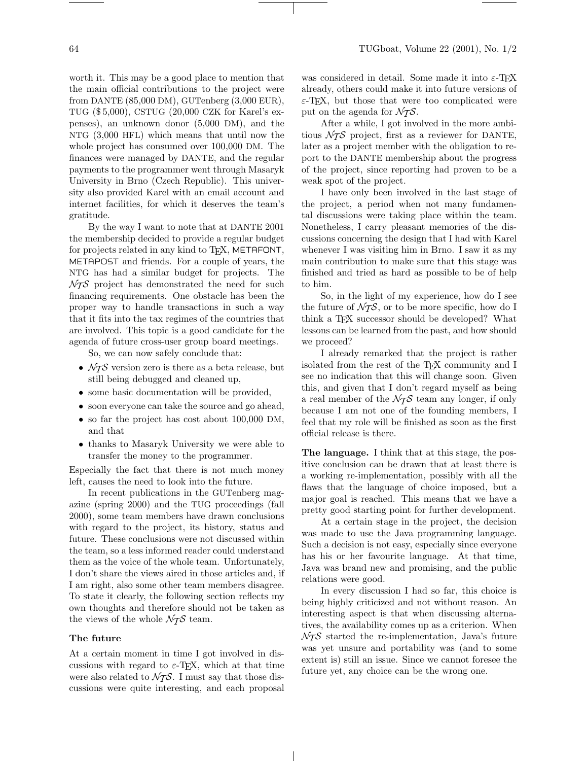worth it. This may be a good place to mention that the main official contributions to the project were from DANTE (85,000 DM), GUTenberg (3,000 EUR), TUG (\$ 5,000), CSTUG (20,000 CZK for Karel's expenses), an unknown donor (5,000 DM), and the NTG (3,000 HFL) which means that until now the whole project has consumed over 100,000 DM. The finances were managed by DANTE, and the regular payments to the programmer went through Masaryk University in Brno (Czech Republic). This university also provided Karel with an email account and internet facilities, for which it deserves the team's gratitude.

By the way I want to note that at DANTE 2001 the membership decided to provide a regular budget for projects related in any kind to T<sub>F</sub>X, METAFONT, METAPOST and friends. For a couple of years, the NTG has had a similar budget for projects. The  $\mathcal{N}$  project has demonstrated the need for such financing requirements. One obstacle has been the proper way to handle transactions in such a way that it fits into the tax regimes of the countries that are involved. This topic is a good candidate for the agenda of future cross-user group board meetings.

So, we can now safely conclude that:

- $\bullet$   $\mathcal{N}\! \mathcal{T} \mathcal{S}$  version zero is there as a beta release, but still being debugged and cleaned up,
- some basic documentation will be provided,
- soon everyone can take the source and go ahead,
- so far the project has cost about 100,000 DM, and that
- thanks to Masaryk University we were able to transfer the money to the programmer.

Especially the fact that there is not much money left, causes the need to look into the future.

In recent publications in the GUTenberg magazine (spring 2000) and the TUG proceedings (fall 2000), some team members have drawn conclusions with regard to the project, its history, status and future. These conclusions were not discussed within the team, so a less informed reader could understand them as the voice of the whole team. Unfortunately, I don't share the views aired in those articles and, if I am right, also some other team members disagree. To state it clearly, the following section reflects my own thoughts and therefore should not be taken as the views of the whole  $\mathcal{N}$  team.

#### The future

At a certain moment in time I got involved in discussions with regard to  $\varepsilon$ -T<sub>E</sub>X, which at that time were also related to  $\mathcal{N}$ . I must say that those discussions were quite interesting, and each proposal was considered in detail. Some made it into  $\varepsilon$ -TEX already, others could make it into future versions of  $\varepsilon$ -TEX, but those that were too complicated were put on the agenda for  $\mathcal{N}$ .

After a while, I got involved in the more ambitious  $\mathcal{N}$  project, first as a reviewer for DANTE, later as a project member with the obligation to report to the DANTE membership about the progress of the project, since reporting had proven to be a weak spot of the project.

I have only been involved in the last stage of the project, a period when not many fundamental discussions were taking place within the team. Nonetheless, I carry pleasant memories of the discussions concerning the design that I had with Karel whenever I was visiting him in Brno. I saw it as my main contribution to make sure that this stage was finished and tried as hard as possible to be of help to him.

So, in the light of my experience, how do I see the future of  $\mathcal{N}_{\mathcal{TS}}$ , or to be more specific, how do I think a TEX successor should be developed? What lessons can be learned from the past, and how should we proceed?

I already remarked that the project is rather isolated from the rest of the TEX community and I see no indication that this will change soon. Given this, and given that I don't regard myself as being a real member of the  $\mathcal{N}$  team any longer, if only because I am not one of the founding members, I feel that my role will be finished as soon as the first official release is there.

The language. I think that at this stage, the positive conclusion can be drawn that at least there is a working re-implementation, possibly with all the flaws that the language of choice imposed, but a major goal is reached. This means that we have a pretty good starting point for further development.

At a certain stage in the project, the decision was made to use the Java programming language. Such a decision is not easy, especially since everyone has his or her favourite language. At that time, Java was brand new and promising, and the public relations were good.

In every discussion I had so far, this choice is being highly criticized and not without reason. An interesting aspect is that when discussing alternatives, the availability comes up as a criterion. When  $\mathcal{N}$  started the re-implementation, Java's future was yet unsure and portability was (and to some extent is) still an issue. Since we cannot foresee the future yet, any choice can be the wrong one.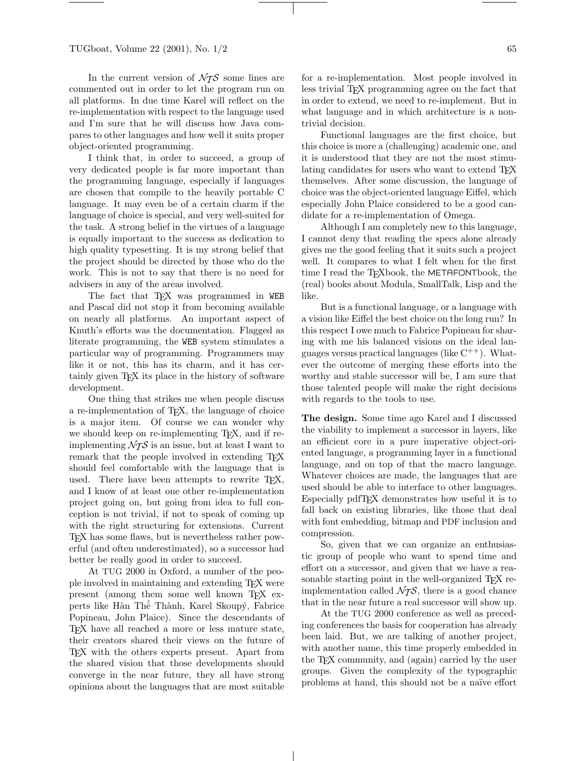In the current version of  $\mathcal{N}$ S some lines are commented out in order to let the program run on all platforms. In due time Karel will reflect on the re-implementation with respect to the language used and I'm sure that he will discuss how Java compares to other languages and how well it suits proper object-oriented programming.

I think that, in order to succeed, a group of very dedicated people is far more important than the programming language, especially if languages are chosen that compile to the heavily portable C language. It may even be of a certain charm if the language of choice is special, and very well-suited for the task. A strong belief in the virtues of a language is equally important to the success as dedication to high quality typesetting. It is my strong belief that the project should be directed by those who do the work. This is not to say that there is no need for advisers in any of the areas involved.

The fact that TEX was programmed in WEB and Pascal did not stop it from becoming available on nearly all platforms. An important aspect of Knuth's efforts was the documentation. Flagged as literate programming, the WEB system stimulates a particular way of programming. Programmers may like it or not, this has its charm, and it has certainly given T<sub>F</sub>X its place in the history of software development.

One thing that strikes me when people discuss a re-implementation of TEX, the language of choice is a major item. Of course we can wonder why we should keep on re-implementing T<sub>E</sub>X, and if reimplementing  $\mathcal{N} \mathcal{T} \mathcal{S}$  is an issue, but at least I want to remark that the people involved in extending T<sub>EX</sub> should feel comfortable with the language that is used. There have been attempts to rewrite TFX, and I know of at least one other re-implementation project going on, but going from idea to full conception is not trivial, if not to speak of coming up with the right structuring for extensions. Current TEX has some flaws, but is nevertheless rather powerful (and often underestimated), so a successor had better be really good in order to succeed.

At TUG 2000 in Oxford, a number of the people involved in maintaining and extending TEX were present (among them some well known TEX experts like Hàn Thê Thành, Karel Skoupý, Fabrice Popineau, John Plaice). Since the descendants of TEX have all reached a more or less mature state, their creators shared their views on the future of TEX with the others experts present. Apart from the shared vision that those developments should converge in the near future, they all have strong opinions about the languages that are most suitable

for a re-implementation. Most people involved in less trivial TEX programming agree on the fact that in order to extend, we need to re-implement. But in what language and in which architecture is a nontrivial decision.

Functional languages are the first choice, but this choice is more a (challenging) academic one, and it is understood that they are not the most stimulating candidates for users who want to extend T<sub>EX</sub> themselves. After some discussion, the language of choice was the object-oriented language Eiffel, which especially John Plaice considered to be a good candidate for a re-implementation of Omega.

Although I am completely new to this language, I cannot deny that reading the specs alone already gives me the good feeling that it suits such a project well. It compares to what I felt when for the first time I read the T<sub>F</sub>Xbook, the METAFONTbook, the (real) books about Modula, SmallTalk, Lisp and the like.

But is a functional language, or a language with a vision like Eiffel the best choice on the long run? In this respect I owe much to Fabrice Popineau for sharing with me his balanced visions on the ideal languages versus practical languages (like  $C^{++}$ ). Whatever the outcome of merging these efforts into the worthy and stable successor will be, I am sure that those talented people will make the right decisions with regards to the tools to use.

The design. Some time ago Karel and I discussed the viability to implement a successor in layers, like an efficient core in a pure imperative object-oriented language, a programming layer in a functional language, and on top of that the macro language. Whatever choices are made, the languages that are used should be able to interface to other languages. Especially pdfTEX demonstrates how useful it is to fall back on existing libraries, like those that deal with font embedding, bitmap and PDF inclusion and compression.

So, given that we can organize an enthusiastic group of people who want to spend time and effort on a successor, and given that we have a reasonable starting point in the well-organized T<sub>EX</sub> reimplementation called  $\mathcal{N}_{\mathcal{TS}}$ , there is a good chance that in the near future a real successor will show up.

At the TUG 2000 conference as well as preceding conferences the basis for cooperation has already been laid. But, we are talking of another project, with another name, this time properly embedded in the TEX community, and (again) carried by the user groups. Given the complexity of the typographic problems at hand, this should not be a naïve effort